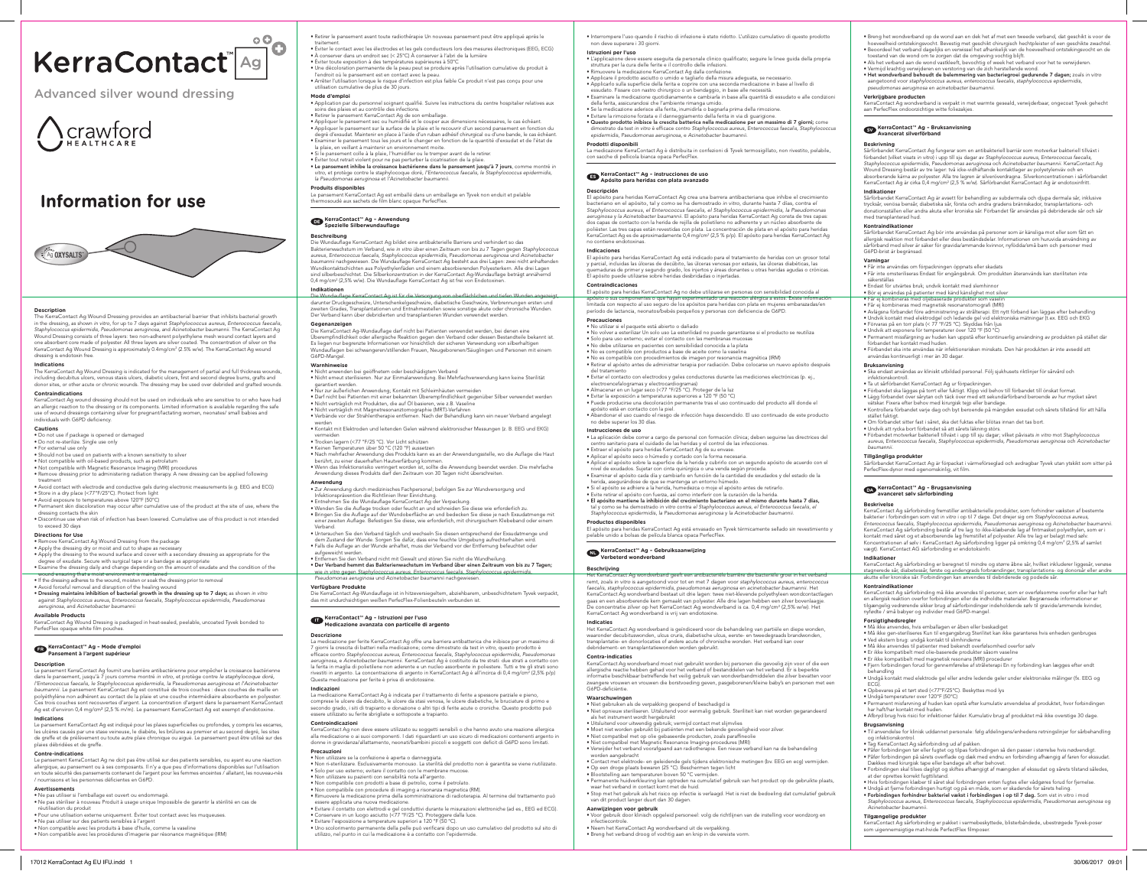## **Information for use**



**Description** The KerraContact Ag Wound Dressing provides an antibacterial barrier that inhibits bacterial growth in the dressing, as shown in vitro, for up to 7 days against *Staphylococcus aureus, Enterococcus faecalis,*<br>*Staphylococcus epidermidis, Pseudomonas aeruginosa, and Acinetobacter baumannii*. The KerraContact Ag<br>Wound Dres dressing is endotoxin free.

**Indications**<br>The KerraContact Ag Wound Dressing is indicated for the management of partial and full thickness wounds,<br>including decubitus ulcers, venous stasis ulcers, diabetic ulcers, first and second degree burns, graft

**Contraindications**<br>KerraContact Ag wound dressing should not be used on individuals who are sensitive to or who have had<br>an allergic reaction to the dressing or its components. Limited information is available regarding t

**Cautions** • Do not use if package is opened or damaged • Do not re-sterilize. Single use only

KerraContact Ag Wound Dressing is packaged in heat-sealed, peelable, uncoated Tyvek bonded to PerfecFlex opaque white film pouches

Le pansement KerraContact Ag fournit une barrière antibactérienne pour empêcher la croissance bactérienne dans le pansement, jusqu'à 7 jours comme montré in vitro, et protège contre le staphylocoque doré,<br>l'Enterococcus faecalis, le Staphylococcus epidermidis, la Pseudomonas aeruginosa et l'Acinetobacter<br>baumannii. Le pansemen Ces trois couches sont recouvertes d'argent. La concentration d'argent dans le pansement KerraContact<br>Ag est d'environ 0,4 mg/cm² (2,5 % m/m). Le pansement KerraContact Ag est exempt d'endotoxine.

- 
- For external use only Should not be used on patients with a known sensitivity to silver
- 
- 
- Not compatible with oil-based products, such as petrolatum<br>• Not compatible with Magnetic Resonance Imaging (MRI) procedures<br>• Remove dressing prior to administering radiation therapy. A new dressing can be applied follo treatment • Avoid contact with electrode and conductive gels during electronic measurements (e.g. EEG and ECG)
- 
- Store in a dry place (<77°F/25°C). Protect from light Avoid exposure to temperatures above 120°F (50°C)
- 
- Permanent skin discoloration may occur after cumulative use of the product at the site of use, where the dressing contacts the skin • Discontinue use when risk of infection has been lowered. Cumulative use of this product is not intended
- to exceed 30 days

Le pansement KerraContact Ag ne doit pas être utilisé sur des patients sensibles, ou ayant eu une réaction allergique, au pansement ou à ses composants. Il n'y a que peu d'informations disponibles sur l'utilisation<br>en toute sécurité des pansements contenant de l'argent pour les femmes enceintes / allaitant, les nouveau-nés<br>/ no

### **Directions for Use**

- 
- Remove KerraContact Ag Wound Dressing from the package<br>• Apply the dressing dry or moist and cut to shape as necessary<br>• Apply the dressing to the wound surface and cover with a secondary dressing as appropriate for the

degree of exudate. Secure with surgical tape or a bandage as appropriate • Examine the dressing daily and change depending on the amount of exudate and the condition of the

– wound ensuring that a moist environment is maintained<br>● If the dressing adheres to the wound, moisten or soak the dressing prior to removal<br>● Avoid forceful removal and disruption of the healing wound

• Dressing maintains inhibition of bacterial growth in the dressing up to 7 days; as shown in vitro<br>against Staphylococcus aureus, Enterococcus faecalis, Staphylococcus epidermidis, Pseudomonas<br>aeruginosa, and Acinetobacte

- réutilisation du produit<br>• Pour une utilisation externe uniquement. Éviter tout contact avec les muqueuses.<br>• Ne pas utiliser sur des patients sensibles à l'argent<br>• Non compatible avec les produits à base d'huile, comme
- 
- 
- Non compatible avec les procédures d'imagerie par résonance magnétique (IRM)

#### **Available Products**

## **FR KerraContact™ Ag – Mode d'emploi Pansement à l'argent supérieur**

### **Description**

- 
- Application par du personnel sognant qualitie. Suivre les instructions du centre hospitalier relatives aux<br>
soins des palies et au contrôle des infections.<br>
 Retirer le pansement KerraContact Ag de son emballage.<br>
 App la plaie, en veillant à maintenir un environnement moite. • Si le pansement colle à la plaie, l'humidifier ou le tremper avant de le retirer.
- 
- Éviter tout retrait violent pour ne pas perturber la cicatrisation de la plaie. Le pansement inhibe la croissance bactérienne dans le pansement jusqu'à 7 jours, comme montré *in*
- *vitro*, et protège contre le staphylocoque doré, *l'Enterococcus faecalis, le Staphylococcus epidermidis, la Pseudomonas aeruginosa* et *l'Acinetobacter baumannii*.

### **Indications**

Die-Wundautlage-KerraContact-Ag-ist-tür-die-Versorgung-von-obertlächlichen-und-tieten-Wunden-angezeigt<del>,</del><br>darunter Druckgeschwüre, Unterschenkelgeschwüre, diabetische Geschwüre, Verbrennungen ersten und<br>zweiten Grades, Tra Der Verband kann über debridierten und transplantieren Wunden verwendet werden.

Le pansement KerraContact Ag est indiqué pour les plaies superficielles ou profondes, y compris les escarres, les ulcères causés par une stase veineuse, le diabète, les brûlures au premier et au second degré, les sites de greffe et de prélèvement ou toute autre plaie chronique ou aiguë. Le pansement peut être utilisé sur des plaies débridées et de greffe.

**Gegenanzeigen**<br>Die KerraContact Ag-Wundauflage darf nicht bei Patienten verwendet werden, bei denen eine Uberempfindlichkeit oder allergische Reaktion gegen den Verband oder dessen Bestandteile bekannt ist.<br>Es liegen nur begrenzte Informationen vor hinsichtlich der sicheren Verwendung von silberhaltigen<br>Wundauflagen bei schwa G6PD-Mangel.

#### **Contre-indications**

### **Avertissements**

• Ne pas utiliser si l'emballage est ouvert ou endommagé. • Ne pas stériliser à nouveau Produit à usage unique Impossible de garantir la stérilité en cas de

• Retirer le pansement avant toute radiothérapie Un nouveau pansement peut être appliqué après le

trattement.<br>• Évider le contact avec les électrodes et les gels conducteurs lors des mesures électroniques (EEG, ECG)<br>• À conserver dans un endroit sec (< 25°C) À conserver à l'abri de la lumière<br>• Éviter toute exposition

Mode d'emploi<br>• Application par du personnel soignant qualifié. Suivre les instructions du centre hospitalier relatives aux

**Descrizione**  La medicazione per ferite KerraContact Ag offre una barriera antibatterica che inibisce per un massimo di 7 giorni la crescita di batteri nella medicazione; come dimostrato da test *in vitro*, questo prodotto è efficace contro *Staphylococcus aureus, Enterococcus faecalis, Staphylococcus epidermidis, Pseudomonas*  aeruginosa, e Acinetobacter baumannii. KerraContact Ag è costituito da tre strati: due strati a contatto con<br>la ferita in maglia di polietilene non aderente e un nucleo assorbente in poliestere. Tutti e tre gli strati sono

La medicazione KerraContact Ag è indicata per il trattamento di ferite a spessore parziale e pieno, comprese le ulcere da decubito, le ulcere da stasi venosa, le ulcere diabetiche, le bruciature di primo e<br>secondo grado, i siti di trapianto e donazione o altri tipi di ferite acute o croniche. Questo prodotto può<br>essere u

### **Produits disponibles**

Le pansement KerraContact Ag est emballé dans un emballage en Tyvek non enduit et pelable thermosoudé aux sachets de film blanc opaque PerfecFlex.

## **DE KerraContact™ Ag – Anwendung Spezielle Silberwundauflage**

**Beschreibung**<br>Die Wundauflage KerraContact Ag bildet eine antibakterielle Barriere und verhindert so das Bakterienwachstum im Verband, wie in vitro über einen Zeitraum von bis zu 7 Tagen gegen Staphylococcus<br>aureus, Enterococcus faecalis, Staphylococcus epidermidis, Pseudomonas aeruginosa und Acinetobacter<br>baumannii nachgewie Wundkontaktschichten aus Polyethylenfäden und einem absorbierenden Polyesterkern. Alle drei Lagen sind silberbeschichtet. Die Silberkonzentration in der KerraContact Ag-Wundauflage beträgt annähernd<br>0,4 mg/cm² (2,5% w/w). Die Wundauflage KerraContact Ag ist frei von Endotoxinen.

### **Indikationen**

#### **Warnhinweise**

• Nicht anwenden bei geöffnetem oder beschädigtem Verband • Nicht erneut sterilisieren. Nur zur Einmalanwendung. Bei Mehrfachverwendung kann keine Sterilität

garantiert werden. • Nur zur äußerlichen Anwendung; Kontakt mit Schleimhäuten vermeiden

• Darf nicht bei Patienten mit einer bekannten Überempfindlichkeit gegenüber Silber verwendet werden • Nicht verträglich mit Produkten, die auf Öl basieren, wie z.B. Vaseline

- Nicht verträglich mit Magnetresonanztomographie (MRT)-Verfahren Verbände vor der Strahlentherapie entfernen. Nach der Behandlung kann ein neuer Verband angelegt
- 
- werden Kontakt mit Elektroden und leitenden Gelen während elektronischer Messungen (z. B. EEG und EKG)
- vermeiden Trocken lagern (<77 °F/25 °C). Vor Licht schützen
- Keinen Temperaturen über 50 °C (120 °F) aussetzen

• Nach mehrfacher Anwendung des Produkts kann es an der Anwendungsstelle, wo die Auflage die Haut<br>berührt, zu einer dauerhaften Hautverfärbung kommen.<br>• Wenn das Infektionsrisiko verringert worden ist, sollte die Anwendung

**Anwendung** • Zur Anwendung durch medizinisches Fachpersonal; befolgen Sie zur Wundversorgung und

- 
- 
- Mirektionsprävention die Richtlinien Ihrer Einrichtung.<br>● Entnehmen Sie die Wundauflage KerraContact Ag der Verpackung.<br>● Wenden Sie die Auflage trocken oder feucht an und schneiden Sie diese wie erforderlich zu.<br>● Bringe einer zweiten Auflage. Befestigen Sie diese, wie erforderlich, mit chirurgischem Klebeband oder einem<br>Verband
- Verband.<br>● Untersuchen Sie den Verband täglich und wechseln Sie diesen entsprechend der Exsudatmenge und<br>● dem Zustand der Wunde. Sorgen Sie dafür, dass eine feuchte Umgebung aufrechterhalten wird.<br>● Falls die Auflage an
- 
- autgeweicht werden.<br>• Entfernen Sie den Verband nicht mit Gewalt und stören Sie nicht die Wundheilung.<br>• Der Verband hemmt das Bakterienwachstum im Verband über einen Zeitraum von bis zu 7 Tagen;<br><u>– wie in vitro gegen Stap</u>

KerraContact Ag wondverband moet niet gebruikt worden bij personen die gevoelig zijn voor of die een<br>allergische reactie hebben gehad voor het verband of bestanddelen van het verband. Er is beperkte<br>informatie beschikbaar zwangere vrouwen en vrouwen die borstvoeding geven, pasgeborenen/kleine baby's en personen met een G6PD-deficiëntie.

Waarschuwingen<br>• Niet gebruiken als de verpakking geopend of beschadigd is<br>• Niet opnieuw steriliseren. Uitsluitend voor eenmalig gebruik. Steriliteit kan niet worden gegarandeerd<br>• Uitsluitend voor uitwendig gebruik; verm

• Niet compatibel met op olie gebaseerde producten, zoals paraffineolie<br>• Niet compatibel met Magnetic Resonance Imaging-procedures (MRI)<br>• Verwijder het verband voorafgaand aan radiotherapie. Een nieuw verband kan na de b

• Contact met elektrode- en geleidende gels tijdens elektronische metingen (bv. EEG en ecg) vermijden.<br>• Op een droge plaats bewaren (25 °C). Beschermen tegen licht<br>• Blootstelling aan temperaturen boven 50 °C vermijden.<br>•

### **Verfügbare Produkte**

Die KerraContact Ag-Wundauflage ist in hitzeversiegeltem, abziehbarem, unbeschichtetem Tyvek verpackt,<br>das mit undurchsichtigen weißen PerfecFlex-Folienbeuteln verbunden ist.

## **IT KerraContact™ Ag – Istruzioni per l'uso Medicazione avanzata con particelle di argento**

### **Indicazioni**

### **Controindicazioni**

KerraContact Ag non deve essere utilizzato su soggetti sensibili o che hanno avuto una reazione allergica alla medicazione o ai suoi componenti. I dati riguardanti un uso sicuro di medicazioni contenenti argento in donne in gravidanza/allattamento, neonati/bambini piccoli e soggetti con deficit di G6PD sono limitati. **Bruksanvisning** • Ska endast användas av kliniskt utbildad personal. Följ sjukhusets riktlinjer för sårvård och **ifektionskontroll.** 

### **Precauzioni**

• Non utilizzare se la confezione è aperta o danneggiata.<br>• Non ri-sterilizzare. Esclusivamente monouso. La sterilità del prodotto non è garantita se viene riutilizzato.<br>• Solo per uso esterno; evitare il contatto con le m

• Förbandet ska läggas på torrt eller fuktigt. Klipp vid behov till förbandet till önskat format.<br>• Lägg förbandet över sårytan och täck över med ett sekundärförband beroende av hur mycket såret<br>• vätskar. Fixera efter beh stället fuktigt.

• Undvik att rycka bort förbandet så att sårets läkning störs.<br>• Förbandet motverkar bakteriell tillväxt i upp till sju dagar; vilket påvisats in vitro mot Staphylococcus<br>• aureus, Enterococcus faecalis, Staphylococcus ep *baumannii.*

KerraContact Ag sårforbinding er beregnet til mindre og større åbne sår, hvilket inkluderer liggesår, venøse stagnerede sår, diabetessår, første og andengrads forbrændinger, transplantations- og donorsår eller andre<br>akutte eller kroniske sår. Forbindingen kan anvendes til debriderede og podede sår.

### **Kontraindikatione**

KerraContact Ag sårforbinding må ikke anvendes til personer, som er overfølsomme overfor eller har haft<br>en allergisk reaktion overfor forbindingen eller de indholdte materialer. Begrænsede informationer er<br>tilgængelig vedr

utilizzo, nel punto in cui la medicazione è a contatto con l'epidermide.

essere applicata una nuova medicazione.<br>• Evitare il contatto con elettrodi e gel conduttivi durante le misurazioni elettroniche (ad es., EEG ed ECG).<br>• Conservare in un luogo asciutto (<77 °F/25 °C). Proteggere dalla luc

• Breng het wondverband op de wond aan en dek het af met een tweede verband, dat geschikt is voor de<br>• hoeveelheid ontstekingsvocht. Bevestig met geschikt chirurgisch hechtpleister of een geschikte zwachtel.<br>• Beoordeel he

• Interrompere l'uso quando il rischio di infezione è stato ridotto. L'utilizzo cumulativo di questo prodotto non deve superare i 30 giorni.

**Istruzioni per l'uso**

• L'applicazione deve essere eseguita da personale clinico qualificato; seguire le linee guida della propria

• Applicare il prodotto asciutto o umido e tagliarlo della misura adeguata, se necessario.<br>• Applicarlo sulla superficie della ferita e coprire con una seconda medicazione in base al livello di<br>• essudato. Fissare con nast

della terita, assicurandosi che l'ambiente rimanga umido.<br>● Se la medicazione aderisce alla ferita, inumidirla o bagnarla prima della rimozione.<br>● Evitare la rimozione forzata e il danneggiamento della ferita in via di gu

struttura per la cura delle ferite e il controllo delle infezioni. • Rimuovere la medicazione KerraContact Ag dalla confezione.

dimostrato da test *in vitro* è efficace contro *Staphylococcus aureus, Enterococcus faecalis, Staphylococcus epidermidis, Pseudomonas aeruginosa,* e *Acinetobacter baumannii*.

at der oprettes korrekt fugttilstand.<br>• Hvis forbindingen klæber til såret skal forbindingen enten fugtes eller vådgøres forud for fjernelse.<br>• Undgå at fjerne forbindingen hurtigt og på en måde, som er skadende for sårets *Acinetobacter baumannii.*

**Tilgængelige produkter**<br>KerraContact Ag sårforbinding er pakket i varmebeskyttede, blisterbåndede, ubestrøgede Tyvek-poser<br>som uigennemsigtige mat-hvide PerfectFlex filmposer.

**Prodotti disponibili**

no contiene end

La medicazione KerraContact Ag è distribuita in confezioni di Tyvek termosigillato, non rivestito, pelabile, con sacche di pellicola bianca opaca PerfecFlex.

**ES KerraContact™ Ag – instrucciones de uso Apósito para heridas con plata avanzado** 

**Descripción**  El apósito para heridas KerraContact Ag crea una barrera antibacteriana que inhibe el crecimiento bacteriano en el apósito, tal y como se ha demostrado *in vitro*, durante hasta 7 días, contra *el* 

Staphylococcus aureus, el Enterococcus faecalis, el Staphylococcus epidermidis, la Pseudomonas<br>aeruginosa y la Acinetobacter baumannii. El apósito para heridas KerraContact Ag consta de tres capas:<br>dos capas de contacto co

**Indicaciones**<br>El apósito para heridas KerraContact Ag está indicado para el tratamiento de heridas con un grosor total El apósito para heridas KerraContact Ag está indicado para el tratamiento de heridas con un grosor total<br>y parcial, incluidas las úlceras de decúbito, las úlceras venosas por estasis, las úlceras diabéticas, las<br>quemaduras

El apósito para heridas KerraContact Ag no debe utilizarse en personas con sensibilidad conocida al<br>apósito o sus componentes o que havan experimentado una reacción alérgica a estos. Existe informad apósito o sus componentes o que hayan experimentado una reacción alérgica a estos. Existe información<br>limitada con respecto al uso seguro de los apósitos para heridas con plata en mujeres embarazadas/en<br>período de lactanci

• No volver a esterilizar Un solo uso La esterilidad no puede garantizarse si el producto se reutiliza<br>• Solo para uso externo; evitar el contacto con las membranas mucosas<br>• No debe utilizarse en pacientes con sensibilida

**Contraindicaciones**

**Precauciones**

**Beskrivning**<br>Sårförbandet KerraContact Ag fungerar som en antibakteriell barriär som motverkar bakteriell tillväxt i förbandet (vilket visats in vitro) i upp till sju dagar av Staphylococcus aureus, Enterococcus faecalis,<br>Staphylococcus epidermidis, Pseudomonas aeruginosa och Acinetobacter baumannii. KerraContact Ag<br>Wound Dressing består

• No utilizar si el paquete está abierto o dañado

• No es compatible con productos a base de aceite como la vaselina • No es compatible con procedimientos de imagen por resonancia magnética (IRM)

-centro sanitario para el cuidado de las heridas y el control de las infecciones.<br>● Extraer el apósito para heridas KerraContact Ag de su envase.<br>● Aplicar el apósito seco o húmedo y cortado con la forma necesaria.

• Retirar el apósito antes de administrar terapia por radiación. Debe colocarse un nuevo apósito después del tratamiento • Evitar el contacto con electrodos y geles conductores durante las mediciones electrónicas (p. ej.,

electroencefalogramas y electrocardiogramas)<br>• Almacenar en un lugar seco (<77 °F/25 °C). Proteger de la luz<br>• Evitar la exposición a temperaturas superiores a 120 °F (50 °C)<br>• Puede producirse una decoloración permanente

no debe superar los 30 días. **Instrucciones de uso**

• La aplicación debe correr a cargo de personal con formación clínica; deben seguirse las directrices del

• Aplicar el apósito sobre la superficie de la herida y cubrirlo con un segundo apósito de acuerdo con el<br>nuel de exudados. Sujetar con cinta quírcigica o una venda según proceda.<br>• Examinar el apósito cada día y cambiarl

• El apósito mantiene la inhibición del crecimiento bacteriano en el mismo durante hasta 7 días, tal y como se ha demostrado *in vitro* contra *el Staphylococcus aureus, el Enterococcus faecalis, el Staphylococcus epidermidis, la Pseudomonas aeruginosa* y *la Acinetobacter baumannii*.

**Productos disponibles**

El apósito para heridas KerraContact Ag está envasado en Tyvek térmicamente sellado sin revestimiento y pelable unido a bolsas de película blanca opaca PerfecFlex.

**NL KerraContact™ Ag – Gebruiksaanwijzing Verbeterd wondverband** 

**Beschrijving**

Het KerraContact Ag wondverband geeft een antibacteriële barrière die bacteriële groei in het verband remt, zoals *in vitro* is aangetoond voor tot en met 7 dagen voor *staphylococcus aureus, enterococcus* 

faecalis, staphylococcus epidermidis, pseudomonas aeruginosa en acinetobacter baumannii. Het<br>KerraContact Ag wondverband bestaat uit drie lagen: twee niet-klevende polyethyleen wondcontactlagen<br>gaas en een absorberende ker

**Indicaties**<br>Het KerraContact Ag wondverband is geïndiceerd voor de behandeling van partiële en diepe wonden,<br>waaronder decubituswonden, ulcus cruris, diabetische ulcus, eerste- en tweedegraads brandwonden,<br>transplantatie-

debridement- en transplantatiewonden worden gebruikt.

**Contra-indicaties**

worden aangebracht

waar het verband in contact komt met de huid.

• Stop met het gebruik als het risico op infectie is verlaagd. Het is niet de bedoeling dat cumulatief gebruik

van dit product langer duurt dan 30 dagen.

**Aanwijzingen voor gebruik** • Voor gebruik door klinisch opgeleid personeel: volg de richtlijnen van de instelling voor wondzorg en

infectiecontrole. • Neem het KerraContact Ag wondverband uit de verpakking. • Breng het verband droog of vochtig aan en knip in de vereiste vorm. toestand van de wond om te zorgen dat de omgeving vochtig blijft. • Als het verband aan de wond vastkleeft, bevochtig of week het verband voor het te verwijderen.

• Vermijd krachtig verwijderen en verstoring van de zich herstellende wond.<br>• Het wondverband behoudt de belemmering van bacteriegroei gedurende 7 dagen; zoals in vitro<br>• aangetoond voor staphylococcus aureus, enterococcus

#### **Verkrijgbare producten**

KerraContact Ag wondverband is verpakt in met warmte geseald, verwijderbaar, ongecoat Tyvek gehecht<br>aan PerfecFlex ondoorzichtige witte foliezakjes.

#### **SV KerraContact™ Ag – Bruksanvisning Avancerat silverförband**

### **Indikationer**

Sårförbandet KerraContact Ag är avsett för behandling av subdermala och djupa dermala sår, inklusive trycksår, venösa bensår, diabetiska sår, första och andra gradens brännskador, transplantations- och donationsställen eller andra akuta eller kroniska sår. Förbandet får användas på debriderade sår och sår med transplanterad hud.

#### **Kontraindikationer**

Sårförbandet KerraContact Ag bör inte användas på personer som är känsliga mot eller som fått en allergisk reaktion mot förbandet eller dess beståndsdelar. Informationen om huruvida användning av sårförband med silver är säker för gravida/ammande kvinnor, nyfödda/små barn och personer med G6PD-brist är begränsad.

#### **Varningar**

• Får inte användas om förpackningen öppnats eller skadats

• Får inte omsteriliseras Endast för engångsbruk. Om produkten återanvänds kan steriliteten inte

säkerställas<br>• Endast för utvärtes bruk: undvik kontakt med slembinno

• Endast för utvärtes bruk; undvik kontakt med slemhinnor<br>• Bör ej användas på patienter med känd känslighet mot silver<br>• Fär ej kombineras med oljebaserade produkter som vaselin<br>• Får ej kombineras med magnetisk resonanst

● Avlägsna förbandet före administrering av strålterapi. Ett nytt förband kan läggas efter behandling<br>● Undvik kontakt med elektrodgel och ledande gel vid elektroniska mätningar (t.ex. EEG och EKG<br>● Förvaras på en torr pl

förbandet har kontakt med huden. • Förbandet ska inte användas när infektionsrisken minskats. Den här produkten är inte avsedd att användas kontinuerligt i mer än 30 dagar.

• Ta ut sårförbandet KerraContact Ag ur förpackningen.

• Om förbandet sitter fast i såret, ska det fuktas eller blötas innan det tas bort.

#### **Tillgängliga produkter**

Sårförbandet KerraContact Ag är förpackat i värmeförseglad och avdragbar Tyvek utan ytskikt som sitter på PerfecFlex-dynor med ogenomskinlig, vit film.

### **DA KerraContact™ Ag – Brugsanvisning avanceret sølv sårforbinding**

**Beskrivelse**<br>KerraContact Ag sårforbinding fremstiller antibakterielle produkter, som forhindrer væksten af bestemte bakterier i torbindingen som vist *in vitro* i op til 7 dage. Det drejer sig om *Staphylococcus aureus,*<br>Enterococcus faecalis, Staphylococcus epidermidis, Pseudomonas aeruginosa og Acinetobacter baumannii.<br>KerraContact Ag

### **Indikationer**

**Forsigtighedsregler** • Må ikke anvendes, hvis emballagen er åben eller beskadiget

• Må ikke gen-steriliseres Kun til engangsbrug Sterilitet kan ikke garanteres hvis enheden genbruges • Ved ekstern brug: undgå kontakt til slimhinderne

• Må ikke anvendes til patienter med bekendt overfølsomhed overfor sølv<br>• Er ikke kompatibelt med olie-baserede produkter såsom vaseline<br>• Er ikke kompatibelt med magnetisk resonans (MRI) procedurer<br>• Fjern forbindingen f

behandling • Undgå kontakt med elektrode gel eller andre ledende geler under elektroniske målinger (fx. EEG og

ECG).<br>● Opbevares på et tørt sted (<77°F/25°C). Beskyttes mod lys<br>● Undgå temperaturer over 120°F (50°C)<br>● Permanent misfarvning af huden kan opstå efter kumulativ anvendelse af produktet, hvor forbindingen

har haft/har kontakt med huden. • Afbryd brug hvis risici for infektioner falder. Kumulativ brug af produktet må ikke overstige 30 dage.

**Brugsanvisning** • Til anvendelse for klinisk uddannet personale: følg afdelingens/enhedens retningslinjer for sårbehandling og infektionskontrol. • Tag KerraContact Ag sårforbinding ud af pakken.

• Påfør forbindingen tør eller fugtet og tilpas forbindingen så den passer i størrelse hvis nødvendigt.<br>• Påfør forbindingen på sårets overflade og dæk med endnu en forbinding afhængig af faren for ekssudat.<br>• Dækkes med k

# $\frac{1}{\sqrt{2}}$ KerraContact<sup>"</sup> Ag

## Advanced silver wound dressing